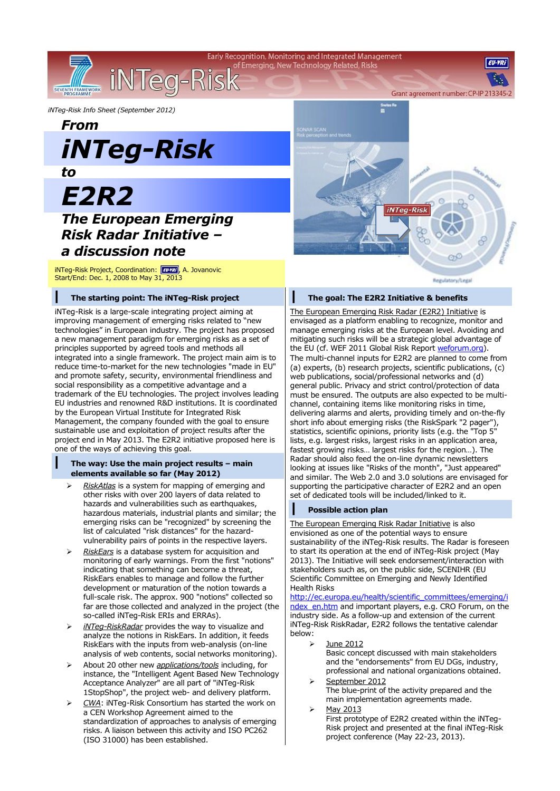Early Recognition, Monitoring and Integrated Management of Emerging, New Technology Related, Risks

*iNTeg-Risk Info Sheet (September 2012)*

## *From iNTeg-Risk*

iNTeg-Risk

*to*

SEVENTH FRAMEWORK

# *E2R2*

### *The European Emerging Risk Radar Initiative – a discussion note*

iNTeg-Risk Project, Coordination: **FU-YRI**, A. Jovanovic Start/End: Dec. 1, 2008 to May 31, 2013

#### **| The starting point: The iNTeg-Risk project**

iNTeg-Risk is a large-scale integrating project aiming at improving management of emerging risks related to "new technologies" in European industry. The project has proposed a new management paradigm for emerging risks as a set of principles supported by agreed tools and methods all integrated into a single framework. The project main aim is to reduce time-to-market for the new technologies "made in EU" and promote safety, security, environmental friendliness and social responsibility as a competitive advantage and a trademark of the EU technologies. The project involves leading EU industries and renowned R&D institutions. It is coordinated by the European Virtual Institute for Integrated Risk Management, the company founded with the goal to ensure sustainable use and exploitation of project results after the project end in May 2013. The E2R2 initiative proposed here is one of the ways of achieving this goal.

#### **| The way: Use the main project results – main elements available so far (May 2012)**

- *RiskAtlas* is a system for mapping of emerging and other risks with over 200 layers of data related to hazards and vulnerabilities such as earthquakes, hazardous materials, industrial plants and similar; the emerging risks can be "recognized" by screening the list of calculated "risk distances" for the hazardvulnerability pairs of points in the respective layers.
- *RiskEars* is a database system for acquisition and monitoring of early warnings. From the first "notions" indicating that something can become a threat, RiskEars enables to manage and follow the further development or maturation of the notion towards a full-scale risk. The approx. 900 "notions" collected so far are those collected and analyzed in the project (the so-called iNTeg-Risk ERIs and ERRAs).
- *iNTeg-RiskRadar* provides the way to visualize and analyze the notions in RiskEars. In addition, it feeds RiskEars with the inputs from web-analysis (on-line analysis of web contents, social networks monitoring).
- About 20 other new *applications/tools* including, for instance, the "Intelligent Agent Based New Technology Acceptance Analyzer" are all part of "iNTeg-Risk 1StopShop", the project web- and delivery platform.
- *CWA*: iNTeg-Risk Consortium has started the work on a CEN Workshop Agreement aimed to the standardization of approaches to analysis of emerging risks. A liaison between this activity and ISO PC262 (ISO 31000) has been established.



#### **| The goal: The E2R2 Initiative & benefits**

The European Emerging Risk Radar (E2R2) Initiative is envisaged as a platform enabling to recognize, monitor and manage emerging risks at the European level. Avoiding and mitigating such risks will be a strategic global advantage of the EU (cf. WEF 2011 Global Risk Report [weforum.org\)](http://www.weforum.org/). The multi-channel inputs for E2R2 are planned to come from (a) experts, (b) research projects, scientific publications, (c) web publications, social/professional networks and (d) general public. Privacy and strict control/protection of data must be ensured. The outputs are also expected to be multichannel, containing items like monitoring risks in time, delivering alarms and alerts, providing timely and on-the-fly short info about emerging risks (the RiskSpark "2 pager"), statistics, scientific opinions, priority lists (e.g. the "Top 5" lists, e.g. largest risks, largest risks in an application area, fastest growing risks… largest risks for the region…). The Radar should also feed the on-line dynamic newsletters looking at issues like "Risks of the month", "Just appeared" and similar. The Web 2.0 and 3.0 solutions are envisaged for supporting the participative character of E2R2 and an open set of dedicated tools will be included/linked to it.

#### **| Possible action plan**

The European Emerging Risk Radar Initiative is also envisioned as one of the potential ways to ensure sustainability of the iNTeg-Risk results. The Radar is foreseen to start its operation at the end of iNTeg-Risk project (May 2013). The Initiative will seek endorsement/interaction with stakeholders such as, on the public side, SCENIHR (EU Scientific Committee on Emerging and Newly Identified Health Risks

[http://ec.europa.eu/health/scientific\\_committees/emerging/i](http://ec.europa.eu/health/scientific_committees/emerging/index_en.htm) ndex en.htm and important players, e.g. CRO Forum, on the industry side. As a follow-up and extension of the current iNTeg-Risk RiskRadar, E2R2 follows the tentative calendar below:

- $\geq$  June 2012 Basic concept discussed with main stakeholders and the "endorsements" from EU DGs, industry, professional and national organizations obtained.
- September 2012 The blue-print of the activity prepared and the main implementation agreements made.
- $\triangleright$  May 2013 First prototype of E2R2 created within the iNTeg-Risk project and presented at the final iNTeg-Risk project conference (May 22-23, 2013).

**EILVD**